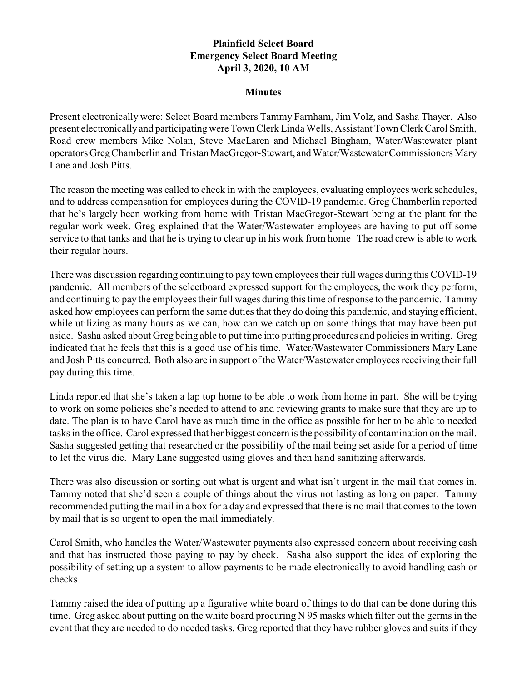## **Plainfield Select Board Emergency Select Board Meeting April 3, 2020, 10 AM**

## **Minutes**

Present electronically were: Select Board members Tammy Farnham, Jim Volz, and Sasha Thayer. Also present electronically and participating were Town Clerk Linda Wells, Assistant Town Clerk Carol Smith, Road crew members Mike Nolan, Steve MacLaren and Michael Bingham, Water/Wastewater plant operators GregChamberlin and Tristan MacGregor-Stewart, andWater/WastewaterCommissioners Mary Lane and Josh Pitts.

The reason the meeting was called to check in with the employees, evaluating employees work schedules, and to address compensation for employees during the COVID-19 pandemic. Greg Chamberlin reported that he's largely been working from home with Tristan MacGregor-Stewart being at the plant for the regular work week. Greg explained that the Water/Wastewater employees are having to put off some service to that tanks and that he is trying to clear up in his work from home The road crew is able to work their regular hours.

There was discussion regarding continuing to pay town employees their full wages during this COVID-19 pandemic. All members of the selectboard expressed support for the employees, the work they perform, and continuing to pay the employees their full wages during this time of response to the pandemic. Tammy asked how employees can perform the same duties that they do doing this pandemic, and staying efficient, while utilizing as many hours as we can, how can we catch up on some things that may have been put aside. Sasha asked about Greg being able to put time into putting procedures and policies in writing. Greg indicated that he feels that this is a good use of his time. Water/Wastewater Commissioners Mary Lane and Josh Pitts concurred. Both also are in support of the Water/Wastewater employees receiving their full pay during this time.

Linda reported that she's taken a lap top home to be able to work from home in part. She will be trying to work on some policies she's needed to attend to and reviewing grants to make sure that they are up to date. The plan is to have Carol have as much time in the office as possible for her to be able to needed tasks in the office. Carol expressed that her biggest concern is the possibility of contamination on the mail. Sasha suggested getting that researched or the possibility of the mail being set aside for a period of time to let the virus die. Mary Lane suggested using gloves and then hand sanitizing afterwards.

There was also discussion or sorting out what is urgent and what isn't urgent in the mail that comes in. Tammy noted that she'd seen a couple of things about the virus not lasting as long on paper. Tammy recommended putting the mail in a box for a day and expressed that there is no mail that comes to the town by mail that is so urgent to open the mail immediately.

Carol Smith, who handles the Water/Wastewater payments also expressed concern about receiving cash and that has instructed those paying to pay by check. Sasha also support the idea of exploring the possibility of setting up a system to allow payments to be made electronically to avoid handling cash or checks.

Tammy raised the idea of putting up a figurative white board of things to do that can be done during this time. Greg asked about putting on the white board procuring N 95 masks which filter out the germs in the event that they are needed to do needed tasks. Greg reported that they have rubber gloves and suits if they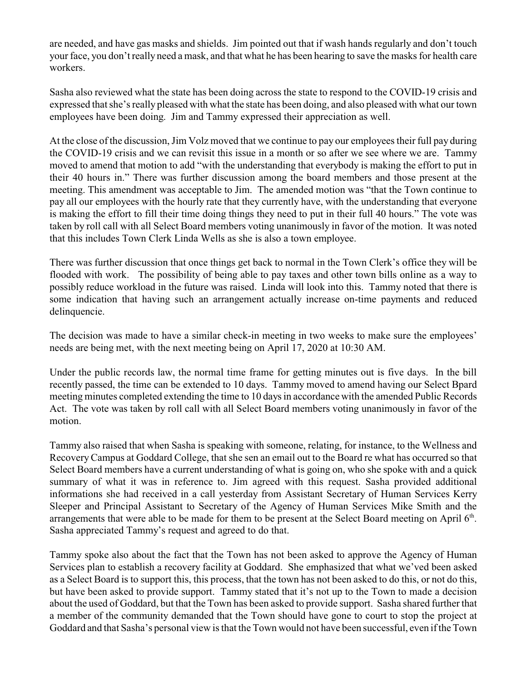are needed, and have gas masks and shields. Jim pointed out that if wash hands regularly and don't touch your face, you don't really need a mask, and that what he has been hearing to save the masks for health care workers.

Sasha also reviewed what the state has been doing across the state to respond to the COVID-19 crisis and expressed that she's really pleased with what the state has been doing, and also pleased with what our town employees have been doing. Jim and Tammy expressed their appreciation as well.

At the close of the discussion, Jim Volz moved that we continue to pay our employees their full pay during the COVID-19 crisis and we can revisit this issue in a month or so after we see where we are. Tammy moved to amend that motion to add "with the understanding that everybody is making the effort to put in their 40 hours in." There was further discussion among the board members and those present at the meeting. This amendment was acceptable to Jim. The amended motion was "that the Town continue to pay all our employees with the hourly rate that they currently have, with the understanding that everyone is making the effort to fill their time doing things they need to put in their full 40 hours." The vote was taken by roll call with all Select Board members voting unanimously in favor of the motion. It was noted that this includes Town Clerk Linda Wells as she is also a town employee.

There was further discussion that once things get back to normal in the Town Clerk's office they will be flooded with work. The possibility of being able to pay taxes and other town bills online as a way to possibly reduce workload in the future was raised. Linda will look into this. Tammy noted that there is some indication that having such an arrangement actually increase on-time payments and reduced delinquencie.

The decision was made to have a similar check-in meeting in two weeks to make sure the employees' needs are being met, with the next meeting being on April 17, 2020 at 10:30 AM.

Under the public records law, the normal time frame for getting minutes out is five days. In the bill recently passed, the time can be extended to 10 days. Tammy moved to amend having our Select Bpard meeting minutes completed extending the time to 10 days in accordance with the amended Public Records Act. The vote was taken by roll call with all Select Board members voting unanimously in favor of the motion.

Tammy also raised that when Sasha is speaking with someone, relating, for instance, to the Wellness and RecoveryCampus at Goddard College, that she sen an email out to the Board re what has occurred so that Select Board members have a current understanding of what is going on, who she spoke with and a quick summary of what it was in reference to. Jim agreed with this request. Sasha provided additional informations she had received in a call yesterday from Assistant Secretary of Human Services Kerry Sleeper and Principal Assistant to Secretary of the Agency of Human Services Mike Smith and the arrangements that were able to be made for them to be present at the Select Board meeting on April  $6<sup>th</sup>$ . Sasha appreciated Tammy's request and agreed to do that.

Tammy spoke also about the fact that the Town has not been asked to approve the Agency of Human Services plan to establish a recovery facility at Goddard. She emphasized that what we'ved been asked as a Select Board is to support this, this process, that the town has not been asked to do this, or not do this, but have been asked to provide support. Tammy stated that it's not up to the Town to made a decision about the used of Goddard, but that the Town has been asked to provide support. Sasha shared further that a member of the community demanded that the Town should have gone to court to stop the project at Goddard and that Sasha's personal view is that the Town would not have been successful, even if the Town